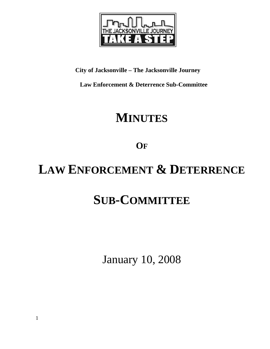

## **City of Jacksonville – The Jacksonville Journey**

 **Law Enforcement & Deterrence Sub-Committee** 

## **MINUTES**

**OF**

# **LAW ENFORCEMENT & DETERRENCE**

## **SUB-COMMITTEE**

January 10, 2008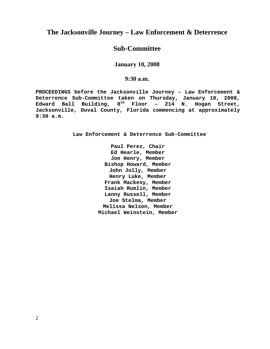## **The Jacksonville Journey – Law Enforcement & Deterrence**

## **Sub-Committee**

## **January 10, 2008**

## **9:30 a.m.**

**PROCEEDINGS before the Jacksonville Journey – Law Enforcement & Deterrence Sub-Committee taken on Thursday, January 10, 2008, Edward Ball Building, 8th Floor – 214 N. Hogan Street, Jacksonville, Duval County, Florida commencing at approximately 9:30 a.m.** 

**Law Enforcement & Deterrence Sub-Committee** 

**Paul Perez, Chair Ed Hearle, Member Joe Henry, Member Bishop Howard, Member John Jolly, Member Henry Luke, Member Frank Mackesy, Member Isaiah Rumlin, Member Lanny Russell, Member Joe Stelma, Member Melissa Nelson, Member Michael Weinstein, Member**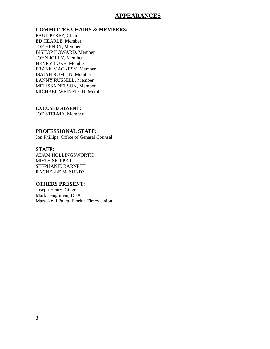## **APPEARANCES**

#### **COMMITTEE CHAIRS & MEMBERS:**

PAUL PEREZ, Chair ED HEARLE, Member JOE HENRY, Member BISHOP HOWARD, Member JOHN JOLLY, Member HENRY LUKE, Member FRANK MACKESY, Member ISAIAH RUMLIN, Member LANNY RUSSELL, Member MELISSA NELSON, Member MICHAEL WEINSTEIN, Member

### **EXCUSED ABSENT:**

JOE STELMA, Member

#### **PROFESSIONAL STAFF:**

Jon Phillips, Office of General Counsel

#### **STAFF:**

ADAM HOLLINGSWORTH MISTY SKIPPER STEPHANIE BARNETT RACHELLE M. SUNDY

#### **OTHERS PRESENT:**

Joseph Henry, Citizen Mark Baughman, DEA Mary Kelli Palka, Florida Times Union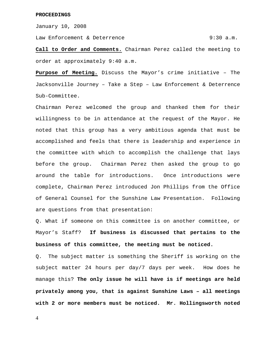January 10, 2008

Law Enforcement & Deterrence  $9:30$  a.m.

**Call to Order and Comments.** Chairman Perez called the meeting to order at approximately 9:40 a.m.

**Purpose of Meeting.** Discuss the Mayor's crime initiative – The Jacksonville Journey – Take a Step – Law Enforcement & Deterrence Sub-Committee.

Chairman Perez welcomed the group and thanked them for their willingness to be in attendance at the request of the Mayor. He noted that this group has a very ambitious agenda that must be accomplished and feels that there is leadership and experience in the committee with which to accomplish the challenge that lays before the group. Chairman Perez then asked the group to go around the table for introductions. Once introductions were complete, Chairman Perez introduced Jon Phillips from the Office of General Counsel for the Sunshine Law Presentation. Following are questions from that presentation:

Q. What if someone on this committee is on another committee, or Mayor's Staff? **If business is discussed that pertains to the business of this committee, the meeting must be noticed.**

Q. The subject matter is something the Sheriff is working on the subject matter 24 hours per day/7 days per week. How does he manage this? **The only issue he will have is if meetings are held privately among you, that is against Sunshine Laws – all meetings with 2 or more members must be noticed. Mr. Hollingsworth noted** 

4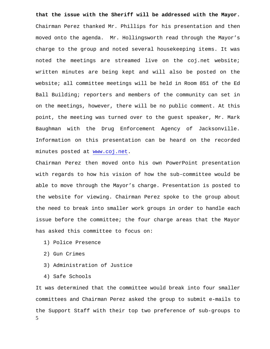**that the issue with the Sheriff will be addressed with the Mayor.**  Chairman Perez thanked Mr. Phillips for his presentation and then moved onto the agenda. Mr. Hollingsworth read through the Mayor's charge to the group and noted several housekeeping items. It was noted the meetings are streamed live on the coj.net website; written minutes are being kept and will also be posted on the website; all committee meetings will be held in Room 851 of the Ed Ball Building; reporters and members of the community can set in on the meetings, however, there will be no public comment. At this point, the meeting was turned over to the guest speaker, Mr. Mark Baughman with the Drug Enforcement Agency of Jacksonville. Information on this presentation can be heard on the recorded minutes posted at [www.coj.net.](http://www.coj.net/)

Chairman Perez then moved onto his own PowerPoint presentation with regards to how his vision of how the sub-committee would be able to move through the Mayor's charge. Presentation is posted to the website for viewing. Chairman Perez spoke to the group about the need to break into smaller work groups in order to handle each issue before the committee; the four charge areas that the Mayor has asked this committee to focus on:

- 1) Police Presence
- 2) Gun Crimes
- 3) Administration of Justice
- 4) Safe Schools

5 It was determined that the committee would break into four smaller committees and Chairman Perez asked the group to submit e-mails to the Support Staff with their top two preference of sub-groups to